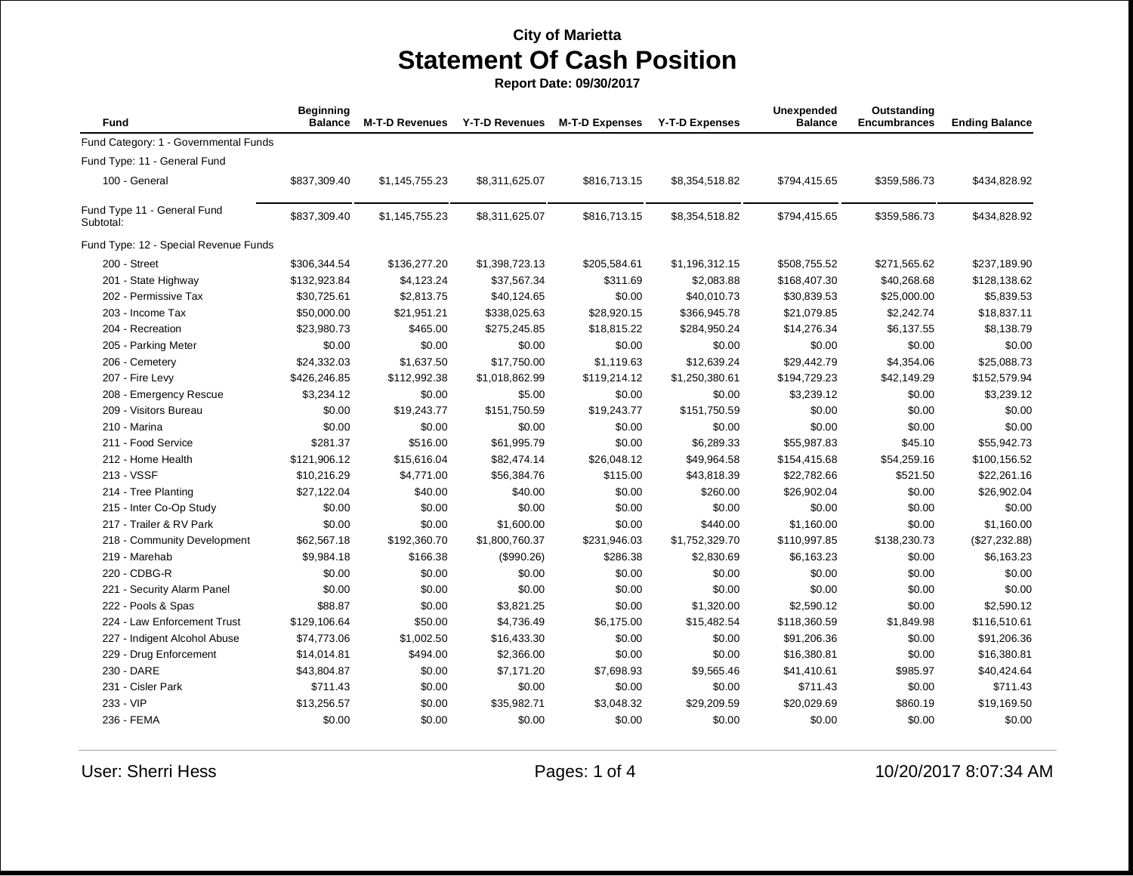**Report Date: 09/30/2017**

| Fund                                     | <b>Beginning</b><br><b>Balance</b> | <b>M-T-D Revenues</b> | <b>Y-T-D Revenues</b> | <b>M-T-D Expenses</b> | <b>Y-T-D Expenses</b> | Unexpended<br><b>Balance</b> | Outstanding<br><b>Encumbrances</b> | <b>Ending Balance</b> |
|------------------------------------------|------------------------------------|-----------------------|-----------------------|-----------------------|-----------------------|------------------------------|------------------------------------|-----------------------|
| Fund Category: 1 - Governmental Funds    |                                    |                       |                       |                       |                       |                              |                                    |                       |
| Fund Type: 11 - General Fund             |                                    |                       |                       |                       |                       |                              |                                    |                       |
| 100 - General                            | \$837,309.40                       | \$1,145,755.23        | \$8,311,625.07        | \$816,713.15          | \$8,354,518.82        | \$794,415.65                 | \$359,586.73                       | \$434,828.92          |
| Fund Type 11 - General Fund<br>Subtotal: | \$837,309.40                       | \$1,145,755.23        | \$8,311,625.07        | \$816,713.15          | \$8,354,518.82        | \$794,415.65                 | \$359,586.73                       | \$434,828.92          |
| Fund Type: 12 - Special Revenue Funds    |                                    |                       |                       |                       |                       |                              |                                    |                       |
| 200 - Street                             | \$306,344.54                       | \$136,277.20          | \$1,398,723.13        | \$205,584.61          | \$1,196,312.15        | \$508,755.52                 | \$271,565.62                       | \$237,189.90          |
| 201 - State Highway                      | \$132,923.84                       | \$4,123.24            | \$37,567.34           | \$311.69              | \$2,083.88            | \$168,407.30                 | \$40,268.68                        | \$128,138.62          |
| 202 - Permissive Tax                     | \$30,725.61                        | \$2,813.75            | \$40,124.65           | \$0.00                | \$40,010.73           | \$30,839.53                  | \$25,000.00                        | \$5,839.53            |
| 203 - Income Tax                         | \$50,000.00                        | \$21,951.21           | \$338,025.63          | \$28,920.15           | \$366,945.78          | \$21,079.85                  | \$2,242.74                         | \$18,837.11           |
| 204 - Recreation                         | \$23,980.73                        | \$465.00              | \$275,245.85          | \$18,815.22           | \$284,950.24          | \$14,276.34                  | \$6,137.55                         | \$8,138.79            |
| 205 - Parking Meter                      | \$0.00                             | \$0.00                | \$0.00                | \$0.00                | \$0.00                | \$0.00                       | \$0.00                             | \$0.00                |
| 206 - Cemetery                           | \$24,332.03                        | \$1,637.50            | \$17,750.00           | \$1,119.63            | \$12,639.24           | \$29,442.79                  | \$4,354.06                         | \$25,088.73           |
| 207 - Fire Levy                          | \$426,246.85                       | \$112,992.38          | \$1,018,862.99        | \$119,214.12          | \$1,250,380.61        | \$194,729.23                 | \$42,149.29                        | \$152,579.94          |
| 208 - Emergency Rescue                   | \$3,234.12                         | \$0.00                | \$5.00                | \$0.00                | \$0.00                | \$3,239.12                   | \$0.00                             | \$3,239.12            |
| 209 - Visitors Bureau                    | \$0.00                             | \$19,243.77           | \$151,750.59          | \$19,243.77           | \$151,750.59          | \$0.00                       | \$0.00                             | \$0.00                |
| 210 - Marina                             | \$0.00                             | \$0.00                | \$0.00                | \$0.00                | \$0.00                | \$0.00                       | \$0.00                             | \$0.00                |
| 211 - Food Service                       | \$281.37                           | \$516.00              | \$61,995.79           | \$0.00                | \$6,289.33            | \$55,987.83                  | \$45.10                            | \$55,942.73           |
| 212 - Home Health                        | \$121,906.12                       | \$15,616.04           | \$82,474.14           | \$26,048.12           | \$49,964.58           | \$154,415.68                 | \$54,259.16                        | \$100,156.52          |
| 213 - VSSF                               | \$10,216.29                        | \$4,771.00            | \$56,384.76           | \$115.00              | \$43,818.39           | \$22,782.66                  | \$521.50                           | \$22,261.16           |
| 214 - Tree Planting                      | \$27,122.04                        | \$40.00               | \$40.00               | \$0.00                | \$260.00              | \$26,902.04                  | \$0.00                             | \$26,902.04           |
| 215 - Inter Co-Op Study                  | \$0.00                             | \$0.00                | \$0.00                | \$0.00                | \$0.00                | \$0.00                       | \$0.00                             | \$0.00                |
| 217 - Trailer & RV Park                  | \$0.00                             | \$0.00                | \$1,600.00            | \$0.00                | \$440.00              | \$1,160.00                   | \$0.00                             | \$1,160.00            |
| 218 - Community Development              | \$62,567.18                        | \$192,360.70          | \$1,800,760.37        | \$231,946.03          | \$1,752,329.70        | \$110,997.85                 | \$138,230.73                       | (\$27,232.88)         |
| 219 - Marehab                            | \$9,984.18                         | \$166.38              | (\$990.26)            | \$286.38              | \$2,830.69            | \$6,163.23                   | \$0.00                             | \$6,163.23            |
| 220 - CDBG-R                             | \$0.00                             | \$0.00                | \$0.00                | \$0.00                | \$0.00                | \$0.00                       | \$0.00                             | \$0.00                |
| 221 - Security Alarm Panel               | \$0.00                             | \$0.00                | \$0.00                | \$0.00                | \$0.00                | \$0.00                       | \$0.00                             | \$0.00                |
| 222 - Pools & Spas                       | \$88.87                            | \$0.00                | \$3,821.25            | \$0.00                | \$1,320.00            | \$2,590.12                   | \$0.00                             | \$2,590.12            |
| 224 - Law Enforcement Trust              | \$129,106.64                       | \$50.00               | \$4,736.49            | \$6,175.00            | \$15,482.54           | \$118,360.59                 | \$1,849.98                         | \$116,510.61          |
| 227 - Indigent Alcohol Abuse             | \$74,773.06                        | \$1,002.50            | \$16,433.30           | \$0.00                | \$0.00                | \$91,206.36                  | \$0.00                             | \$91,206.36           |
| 229 - Drug Enforcement                   | \$14,014.81                        | \$494.00              | \$2,366.00            | \$0.00                | \$0.00                | \$16,380.81                  | \$0.00                             | \$16,380.81           |
| 230 - DARE                               | \$43,804.87                        | \$0.00                | \$7,171.20            | \$7,698.93            | \$9,565.46            | \$41,410.61                  | \$985.97                           | \$40,424.64           |
| 231 - Cisler Park                        | \$711.43                           | \$0.00                | \$0.00                | \$0.00                | \$0.00                | \$711.43                     | \$0.00                             | \$711.43              |
| 233 - VIP                                | \$13,256.57                        | \$0.00                | \$35,982.71           | \$3,048.32            | \$29,209.59           | \$20,029.69                  | \$860.19                           | \$19,169.50           |
| 236 - FEMA                               | \$0.00                             | \$0.00                | \$0.00                | \$0.00                | \$0.00                | \$0.00                       | \$0.00                             | \$0.00                |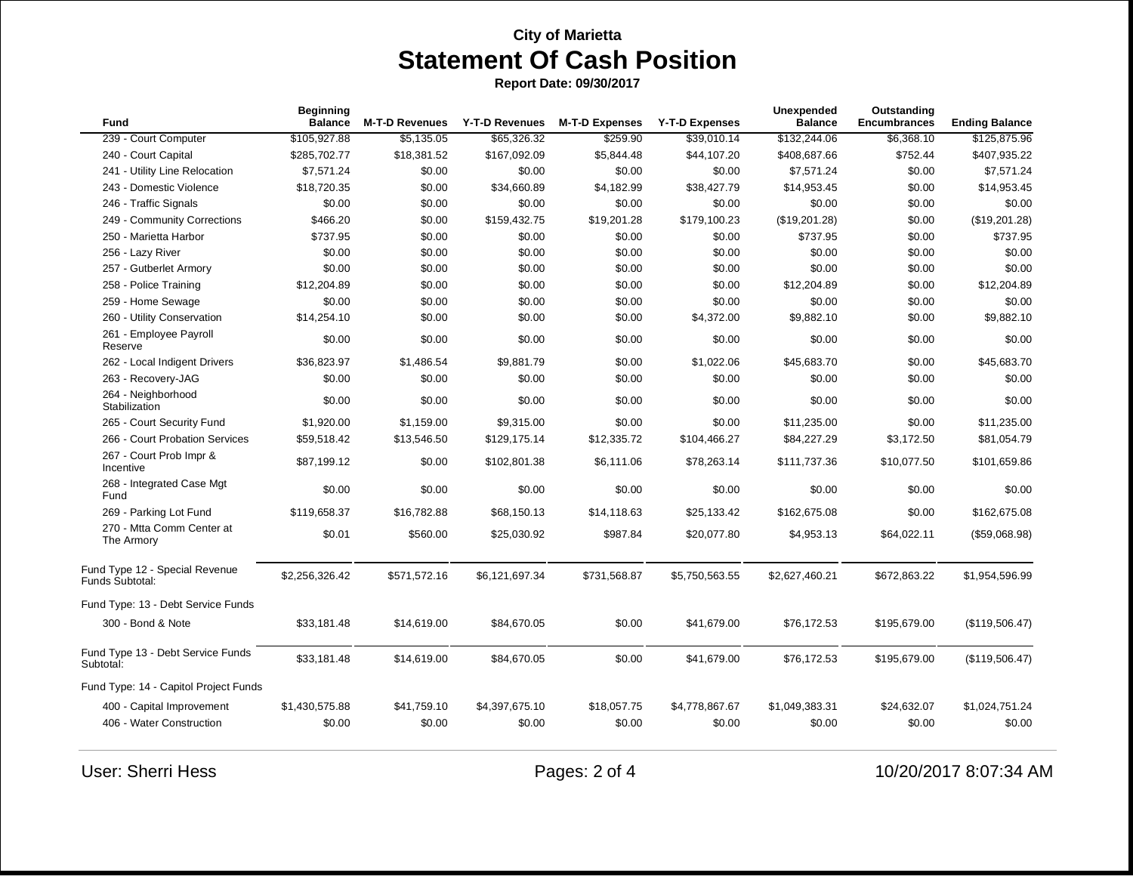**Report Date: 09/30/2017**

| <b>Fund</b>                                       | Beginning<br><b>Balance</b> | <b>M-T-D Revenues</b> | <b>Y-T-D Revenues</b> | <b>M-T-D Expenses</b> | <b>Y-T-D Expenses</b> | <b>Unexpended</b><br><b>Balance</b> | Outstanding<br><b>Encumbrances</b> | <b>Ending Balance</b> |
|---------------------------------------------------|-----------------------------|-----------------------|-----------------------|-----------------------|-----------------------|-------------------------------------|------------------------------------|-----------------------|
| 239 - Court Computer                              | \$105,927.88                | \$5,135.05            | \$65,326.32           | \$259.90              | \$39,010.14           | \$132,244.06                        | \$6,368.10                         | \$125,875.96          |
| 240 - Court Capital                               | \$285,702.77                | \$18,381.52           | \$167,092.09          | \$5,844.48            | \$44,107.20           | \$408,687.66                        | \$752.44                           | \$407,935.22          |
| 241 - Utility Line Relocation                     | \$7,571.24                  | \$0.00                | \$0.00                | \$0.00                | \$0.00                | \$7,571.24                          | \$0.00                             | \$7,571.24            |
| 243 - Domestic Violence                           | \$18,720.35                 | \$0.00                | \$34,660.89           | \$4,182.99            | \$38,427.79           | \$14,953.45                         | \$0.00                             | \$14,953.45           |
| 246 - Traffic Signals                             | \$0.00                      | \$0.00                | \$0.00                | \$0.00                | \$0.00                | \$0.00                              | \$0.00                             | \$0.00                |
| 249 - Community Corrections                       | \$466.20                    | \$0.00                | \$159,432.75          | \$19,201.28           | \$179,100.23          | (\$19,201.28)                       | \$0.00                             | (\$19,201.28)         |
| 250 - Marietta Harbor                             | \$737.95                    | \$0.00                | \$0.00                | \$0.00                | \$0.00                | \$737.95                            | \$0.00                             | \$737.95              |
| 256 - Lazy River                                  | \$0.00                      | \$0.00                | \$0.00                | \$0.00                | \$0.00                | \$0.00                              | \$0.00                             | \$0.00                |
| 257 - Gutberlet Armory                            | \$0.00                      | \$0.00                | \$0.00                | \$0.00                | \$0.00                | \$0.00                              | \$0.00                             | \$0.00                |
| 258 - Police Training                             | \$12,204.89                 | \$0.00                | \$0.00                | \$0.00                | \$0.00                | \$12,204.89                         | \$0.00                             | \$12,204.89           |
| 259 - Home Sewage                                 | \$0.00                      | \$0.00                | \$0.00                | \$0.00                | \$0.00                | \$0.00                              | \$0.00                             | \$0.00                |
| 260 - Utility Conservation                        | \$14,254.10                 | \$0.00                | \$0.00                | \$0.00                | \$4,372.00            | \$9,882.10                          | \$0.00                             | \$9,882.10            |
| 261 - Employee Payroll<br>Reserve                 | \$0.00                      | \$0.00                | \$0.00                | \$0.00                | \$0.00                | \$0.00                              | \$0.00                             | \$0.00                |
| 262 - Local Indigent Drivers                      | \$36,823.97                 | \$1,486.54            | \$9,881.79            | \$0.00                | \$1,022.06            | \$45,683.70                         | \$0.00                             | \$45,683.70           |
| 263 - Recovery-JAG                                | \$0.00                      | \$0.00                | \$0.00                | \$0.00                | \$0.00                | \$0.00                              | \$0.00                             | \$0.00                |
| 264 - Neighborhood<br>Stabilization               | \$0.00                      | \$0.00                | \$0.00                | \$0.00                | \$0.00                | \$0.00                              | \$0.00                             | \$0.00                |
| 265 - Court Security Fund                         | \$1,920.00                  | \$1,159.00            | \$9,315.00            | \$0.00                | \$0.00                | \$11,235.00                         | \$0.00                             | \$11,235.00           |
| 266 - Court Probation Services                    | \$59,518.42                 | \$13,546.50           | \$129,175.14          | \$12,335.72           | \$104,466.27          | \$84,227.29                         | \$3,172.50                         | \$81,054.79           |
| 267 - Court Prob Impr &<br>Incentive              | \$87,199.12                 | \$0.00                | \$102,801.38          | \$6,111.06            | \$78,263.14           | \$111,737.36                        | \$10,077.50                        | \$101,659.86          |
| 268 - Integrated Case Mgt<br>Fund                 | \$0.00                      | \$0.00                | \$0.00                | \$0.00                | \$0.00                | \$0.00                              | \$0.00                             | \$0.00                |
| 269 - Parking Lot Fund                            | \$119,658.37                | \$16,782.88           | \$68,150.13           | \$14,118.63           | \$25,133.42           | \$162,675.08                        | \$0.00                             | \$162,675.08          |
| 270 - Mtta Comm Center at<br>The Armory           | \$0.01                      | \$560.00              | \$25,030.92           | \$987.84              | \$20,077.80           | \$4,953.13                          | \$64,022.11                        | (\$59,068.98)         |
| Fund Type 12 - Special Revenue<br>Funds Subtotal: | \$2,256,326.42              | \$571,572.16          | \$6,121,697.34        | \$731,568.87          | \$5,750,563.55        | \$2,627,460.21                      | \$672,863.22                       | \$1,954,596.99        |
| Fund Type: 13 - Debt Service Funds                |                             |                       |                       |                       |                       |                                     |                                    |                       |
| 300 - Bond & Note                                 | \$33,181.48                 | \$14,619.00           | \$84,670.05           | \$0.00                | \$41,679.00           | \$76,172.53                         | \$195,679.00                       | (\$119,506.47)        |
| Fund Type 13 - Debt Service Funds<br>Subtotal:    | \$33,181.48                 | \$14,619.00           | \$84,670.05           | \$0.00                | \$41,679.00           | \$76,172.53                         | \$195,679.00                       | (\$119,506.47)        |
| Fund Type: 14 - Capitol Project Funds             |                             |                       |                       |                       |                       |                                     |                                    |                       |
| 400 - Capital Improvement                         | \$1,430,575.88              | \$41,759.10           | \$4,397,675.10        | \$18,057.75           | \$4,778,867.67        | \$1,049,383.31                      | \$24,632.07                        | \$1,024,751.24        |
| 406 - Water Construction                          | \$0.00                      | \$0.00                | \$0.00                | \$0.00                | \$0.00                | \$0.00                              | \$0.00                             | \$0.00                |

User: Sherri Hess Pages: 2 of 4 10/20/2017 8:07:34 AM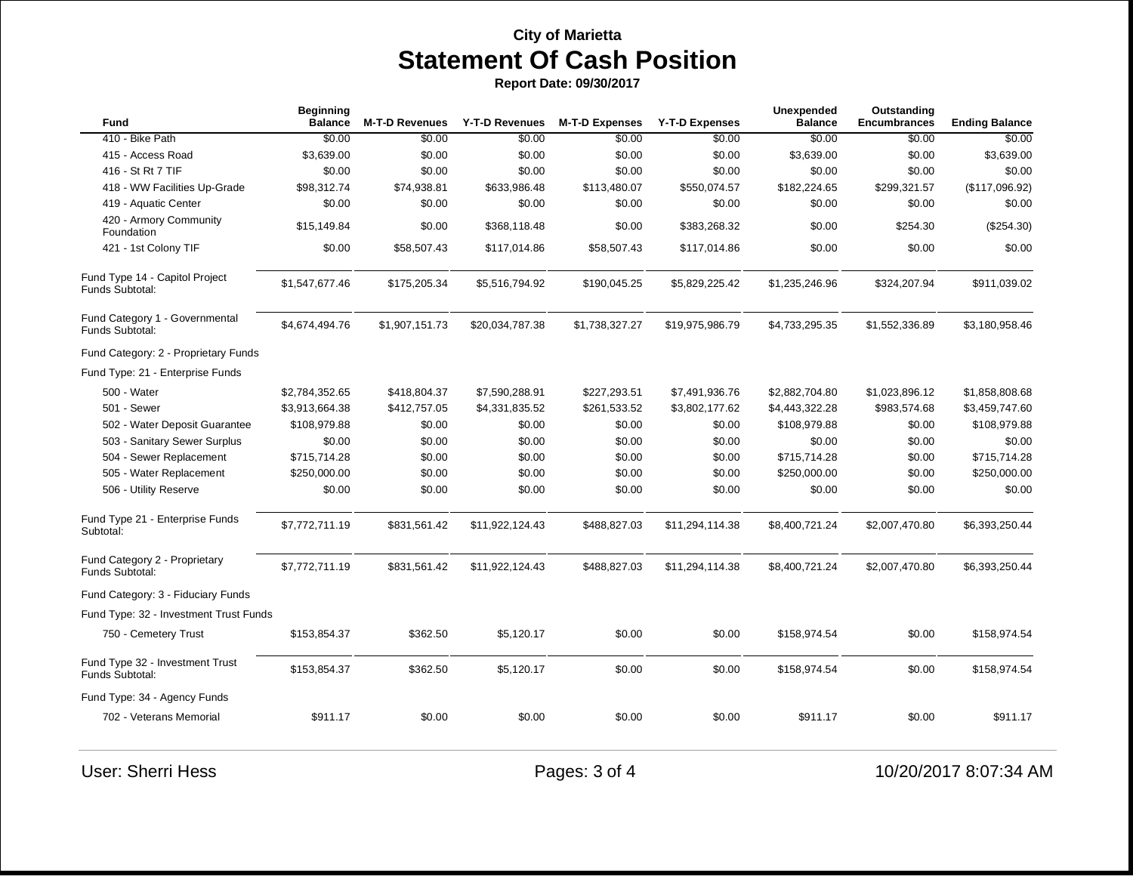**Report Date: 09/30/2017**

| Fund                                                      | <b>Beginning</b><br><b>Balance</b> | <b>M-T-D Revenues</b> | <b>Y-T-D Revenues</b> | <b>M-T-D Expenses</b> | <b>Y-T-D Expenses</b> | <b>Unexpended</b><br><b>Balance</b> | Outstanding<br><b>Encumbrances</b> | <b>Ending Balance</b> |
|-----------------------------------------------------------|------------------------------------|-----------------------|-----------------------|-----------------------|-----------------------|-------------------------------------|------------------------------------|-----------------------|
| 410 - Bike Path                                           | \$0.00                             | \$0.00                | \$0.00                | \$0.00                | \$0.00                | \$0.00                              | \$0.00                             | \$0.00                |
| 415 - Access Road                                         | \$3,639.00                         | \$0.00                | \$0.00                | \$0.00                | \$0.00                | \$3,639.00                          | \$0.00                             | \$3,639.00            |
| 416 - St Rt 7 TIF                                         | \$0.00                             | \$0.00                | \$0.00                | \$0.00                | \$0.00                | \$0.00                              | \$0.00                             | \$0.00                |
| 418 - WW Facilities Up-Grade                              | \$98,312.74                        | \$74,938.81           | \$633,986.48          | \$113,480.07          | \$550,074.57          | \$182,224.65                        | \$299,321.57                       | (\$117,096.92)        |
| 419 - Aquatic Center                                      | \$0.00                             | \$0.00                | \$0.00                | \$0.00                | \$0.00                | \$0.00                              | \$0.00                             | \$0.00                |
| 420 - Armory Community<br>Foundation                      | \$15,149.84                        | \$0.00                | \$368,118.48          | \$0.00                | \$383,268.32          | \$0.00                              | \$254.30                           | $(\$254.30)$          |
| 421 - 1st Colony TIF                                      | \$0.00                             | \$58,507.43           | \$117,014.86          | \$58,507.43           | \$117,014.86          | \$0.00                              | \$0.00                             | \$0.00                |
| Fund Type 14 - Capitol Project<br>Funds Subtotal:         | \$1,547,677.46                     | \$175,205.34          | \$5,516,794.92        | \$190,045.25          | \$5,829,225.42        | \$1,235,246.96                      | \$324,207.94                       | \$911,039.02          |
| Fund Category 1 - Governmental<br>Funds Subtotal:         | \$4,674,494.76                     | \$1,907,151.73        | \$20,034,787.38       | \$1,738,327.27        | \$19,975,986.79       | \$4,733,295.35                      | \$1,552,336.89                     | \$3,180,958.46        |
| Fund Category: 2 - Proprietary Funds                      |                                    |                       |                       |                       |                       |                                     |                                    |                       |
| Fund Type: 21 - Enterprise Funds                          |                                    |                       |                       |                       |                       |                                     |                                    |                       |
| 500 - Water                                               | \$2,784,352.65                     | \$418,804.37          | \$7,590,288.91        | \$227,293.51          | \$7,491,936.76        | \$2,882,704.80                      | \$1,023,896.12                     | \$1,858,808.68        |
| 501 - Sewer                                               | \$3,913,664.38                     | \$412,757.05          | \$4,331,835.52        | \$261,533.52          | \$3,802,177.62        | \$4,443,322.28                      | \$983,574.68                       | \$3,459,747.60        |
| 502 - Water Deposit Guarantee                             | \$108,979.88                       | \$0.00                | \$0.00                | \$0.00                | \$0.00                | \$108,979.88                        | \$0.00                             | \$108,979.88          |
| 503 - Sanitary Sewer Surplus                              | \$0.00                             | \$0.00                | \$0.00                | \$0.00                | \$0.00                | \$0.00                              | \$0.00                             | \$0.00                |
| 504 - Sewer Replacement                                   | \$715,714.28                       | \$0.00                | \$0.00                | \$0.00                | \$0.00                | \$715,714.28                        | \$0.00                             | \$715,714.28          |
| 505 - Water Replacement                                   | \$250,000.00                       | \$0.00                | \$0.00                | \$0.00                | \$0.00                | \$250,000.00                        | \$0.00                             | \$250,000.00          |
| 506 - Utility Reserve                                     | \$0.00                             | \$0.00                | \$0.00                | \$0.00                | \$0.00                | \$0.00                              | \$0.00                             | \$0.00                |
| Fund Type 21 - Enterprise Funds<br>Subtotal:              | \$7,772,711.19                     | \$831,561.42          | \$11,922,124.43       | \$488,827.03          | \$11,294,114.38       | \$8,400,721.24                      | \$2,007,470.80                     | \$6,393,250.44        |
| Fund Category 2 - Proprietary<br>Funds Subtotal:          | \$7,772,711.19                     | \$831,561.42          | \$11,922,124.43       | \$488,827.03          | \$11,294,114.38       | \$8,400,721.24                      | \$2,007,470.80                     | \$6,393,250.44        |
| Fund Category: 3 - Fiduciary Funds                        |                                    |                       |                       |                       |                       |                                     |                                    |                       |
| Fund Type: 32 - Investment Trust Funds                    |                                    |                       |                       |                       |                       |                                     |                                    |                       |
| 750 - Cemetery Trust                                      | \$153,854.37                       | \$362.50              | \$5,120.17            | \$0.00                | \$0.00                | \$158,974.54                        | \$0.00                             | \$158,974.54          |
| Fund Type 32 - Investment Trust<br><b>Funds Subtotal:</b> | \$153,854.37                       | \$362.50              | \$5,120.17            | \$0.00                | \$0.00                | \$158,974.54                        | \$0.00                             | \$158,974.54          |
| Fund Type: 34 - Agency Funds                              |                                    |                       |                       |                       |                       |                                     |                                    |                       |
| 702 - Veterans Memorial                                   | \$911.17                           | \$0.00                | \$0.00                | \$0.00                | \$0.00                | \$911.17                            | \$0.00                             | \$911.17              |